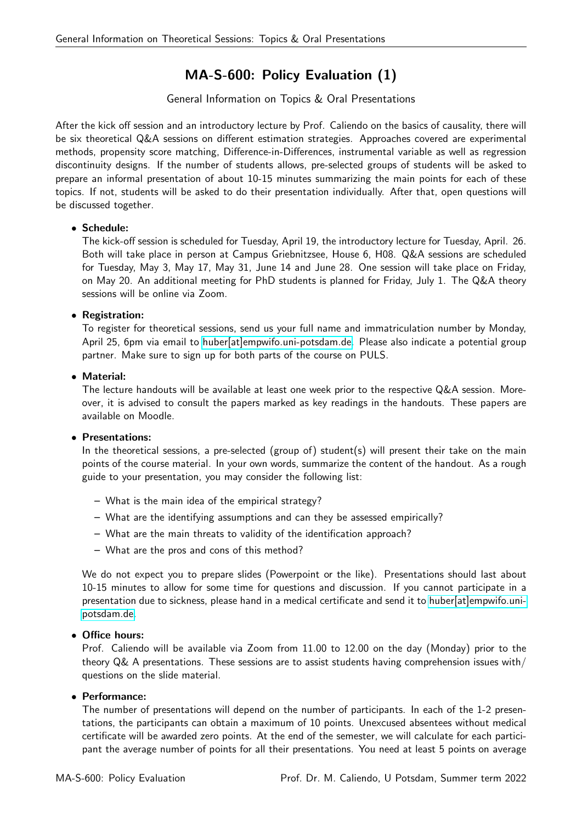# MA-S-600: Policy Evaluation (1)

## General Information on Topics & Oral Presentations

After the kick off session and an introductory lecture by Prof. Caliendo on the basics of causality, there will be six theoretical Q&A sessions on different estimation strategies. Approaches covered are experimental methods, propensity score matching, Difference-in-Differences, instrumental variable as well as regression discontinuity designs. If the number of students allows, pre-selected groups of students will be asked to prepare an informal presentation of about 10-15 minutes summarizing the main points for each of these topics. If not, students will be asked to do their presentation individually. After that, open questions will be discussed together.

## • Schedule:

The kick-off session is scheduled for Tuesday, April 19, the introductory lecture for Tuesday, April. 26. Both will take place in person at Campus Griebnitzsee, House 6, H08. Q&A sessions are scheduled for Tuesday, May 3, May 17, May 31, June 14 and June 28. One session will take place on Friday, on May 20. An additional meeting for PhD students is planned for Friday, July 1. The Q&A theory sessions will be online via Zoom.

## • Registration:

To register for theoretical sessions, send us your full name and immatriculation number by Monday, April 25, 6pm via email to [huber\[at\]empwifo.uni-potsdam.de.](mailto:huber@empwifo.uni-potsdam.de) Please also indicate a potential group partner. Make sure to sign up for both parts of the course on PULS.

## • Material:

The lecture handouts will be available at least one week prior to the respective Q&A session. Moreover, it is advised to consult the papers marked as key readings in the handouts. These papers are available on Moodle.

#### • Presentations:

In the theoretical sessions, a pre-selected (group of) student(s) will present their take on the main points of the course material. In your own words, summarize the content of the handout. As a rough guide to your presentation, you may consider the following list:

- What is the main idea of the empirical strategy?
- What are the identifying assumptions and can they be assessed empirically?
- What are the main threats to validity of the identification approach?
- What are the pros and cons of this method?

We do not expect you to prepare slides (Powerpoint or the like). Presentations should last about 10-15 minutes to allow for some time for questions and discussion. If you cannot participate in a presentation due to sickness, please hand in a medical certificate and send it to [huber\[at\]empwifo.uni](mailto:huber@empwifo.uni-potsdam.de)[potsdam.de.](mailto:huber@empwifo.uni-potsdam.de)

#### • Office hours:

Prof. Caliendo will be available via Zoom from 11.00 to 12.00 on the day (Monday) prior to the theory Q& A presentations. These sessions are to assist students having comprehension issues with/ questions on the slide material.

#### • Performance:

The number of presentations will depend on the number of participants. In each of the 1-2 presentations, the participants can obtain a maximum of 10 points. Unexcused absentees without medical certificate will be awarded zero points. At the end of the semester, we will calculate for each participant the average number of points for all their presentations. You need at least 5 points on average